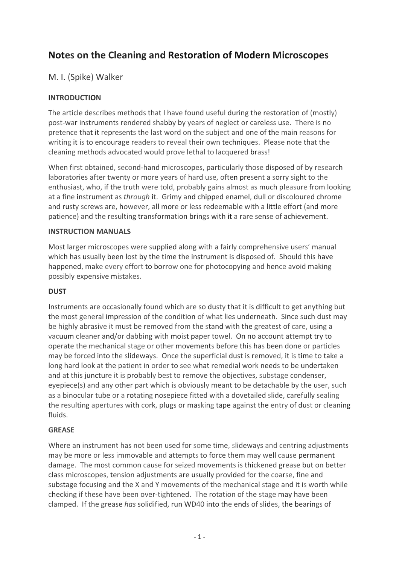# **Notes on the Cleaning and Restoration of Modern Microscopes**

# M. I. (Spike) Walker

# **INTRODUCTION**

The article describes methods that I have found useful during the restoration of (mostly) post‐war instruments rendered shabby by years of neglect or careless use. There is no pretence that it represents the last word on the subject and one of the main reasons for writing it is to encourage readers to reveal their own techniques. Please note that the cleaning methods advocated would prove lethal to lacquered brass!

When first obtained, second-hand microscopes, particularly those disposed of by research laboratories after twenty or more years of hard use, often present a sorry sight to the enthusiast, who, if the truth were told, probably gains almost as much pleasure from looking at a fine instrument as *through* it. Grimy and chipped enamel, dull or discoloured chrome and rusty screws are, however, all more or less redeemable with a little effort (and more patience) and the resulting transformation brings with it a rare sense of achievement.

#### **INSTRUCTION MANUALS**

Most larger microscopes were supplied along with a fairly comprehensive users' manual which has usually been lost by the time the instrument is disposed of. Should this have happened, make every effort to borrow one for photocopying and hence avoid making possibly expensive mistakes.

## **DUST**

Instruments are occasionally found which are so dusty that it is difficult to get anything but the most general impression of the condition of what lies underneath. Since such dust may be highly abrasive it must be removed from the stand with the greatest of care, using a vacuum cleaner and/or dabbing with moist paper towel. On no account attempt try to operate the mechanical stage or other movements before this has been done or particles may be forced into the slideways. Once the superficial dust is removed, it is time to take a long hard look at the patient in order to see what remedial work needs to be undertaken and at this juncture it is probably best to remove the objectives, substage condenser, eyepiece(s) and any other part which is obviously meant to be detachable by the user, such as a binocular tube or a rotating nosepiece fitted with a dovetailed slide, carefully sealing the resulting apertures with cork, plugs or masking tape against the entry of dust or cleaning fluids.

## **GREASE**

Where an instrument has not been used for some time, slideways and centring adjustments may be more or less immovable and attempts to force them may well cause permanent damage. The most common cause for seized movements is thickened grease but on better class microscopes, tension adjustments are usually provided for the coarse, fine and substage focusing and the X and Y movements of the mechanical stage and it is worth while checking if these have been over-tightened. The rotation of the stage may have been clamped. If the grease *has* solidified, run WD40 into the ends of slides, the bearings of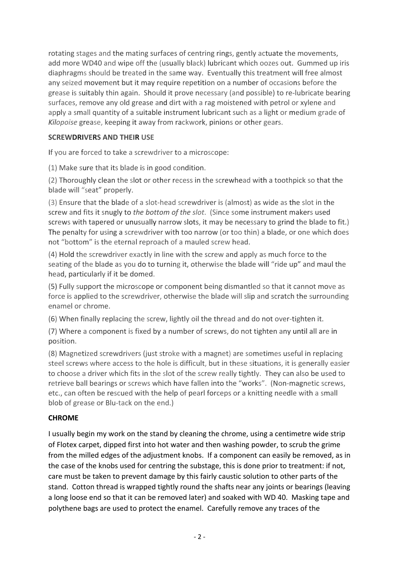rotating stages and the mating surfaces of centring rings, gently actuate the movements, add more WD40 and wipe off the (usually black) lubricant which oozes out. Gummed up iris diaphragms should be treated in the same way. Eventually this treatment will free almost any seized movement but it may require repetition on a number of occasions before the grease is suitably thin again. Should it prove necessary (and possible) to re‐lubricate bearing surfaces, remove any old grease and dirt with a rag moistened with petrol or xylene and apply a small quantity of a suitable instrument lubricant such as a light or medium grade of *Kilopoise* grease, keeping it away from rackwork, pinions or other gears.

# **SCREWDRIVERS AND THEIR USE**

If you are forced to take a screwdriver to a microscope:

(1) Make sure that its blade is in good condition.

(2) Thoroughly clean the slot or other recess in the screwhead with a toothpick so that the blade will "seat" properly.

(3) Ensure that the blade of a slot-head screwdriver is (almost) as wide as the slot in the screw and fits it snugly to *the bottom of the slot*. (Since some instrument makers used screws with tapered or unusually narrow slots, it may be necessary to grind the blade to fit.) The penalty for using a screwdriver with too narrow (or too thin) a blade, or one which does not "bottom" is the eternal reproach of a mauled screw head.

(4) Hold the screwdriver exactly in line with the screw and apply as much force to the seating of the blade as you do to turning it, otherwise the blade will "ride up" and maul the head, particularly if it be domed.

(5) Fully support the microscope or component being dismantled so that it cannot move as force is applied to the screwdriver, otherwise the blade will slip and scratch the surrounding enamel or chrome.

(6) When finally replacing the screw, lightly oil the thread and do not over‐tighten it.

(7) Where a component is fixed by a number of screws, do not tighten any until all are in position.

(8) Magnetized screwdrivers (just stroke with a magnet) are sometimes useful in replacing steel screws where access to the hole is difficult, but in these situations, it is generally easier to choose a driver which fits in the slot of the screw really tightly. They can also be used to retrieve ball bearings or screws which have fallen into the "works". (Non-magnetic screws, etc., can often be rescued with the help of pearl forceps or a knitting needle with a small blob of grease or Blu-tack on the end.)

# **CHROME**

I usually begin my work on the stand by cleaning the chrome, using a centimetre wide strip of Flotex carpet, dipped first into hot water and then washing powder, to scrub the grime from the milled edges of the adjustment knobs. If a component can easily be removed, as in the case of the knobs used for centring the substage, this is done prior to treatment: if not, care must be taken to prevent damage by this fairly caustic solution to other parts of the stand. Cotton thread is wrapped tightly round the shafts near any joints or bearings (leaving a long loose end so that it can be removed later) and soaked with WD 40. Masking tape and polythene bags are used to protect the enamel. Carefully remove any traces of the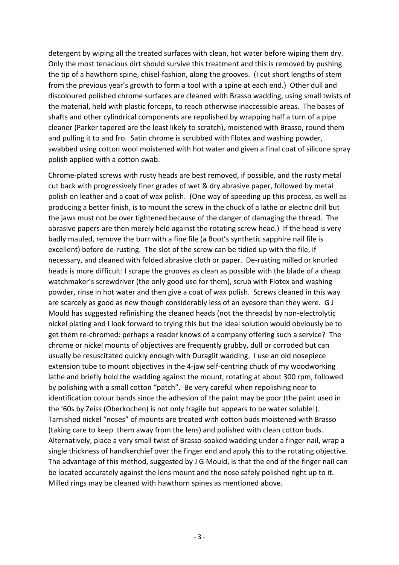detergent by wiping all the treated surfaces with clean, hot water before wiping them dry. Only the most tenacious dirt should survive this treatment and this is removed by pushing the tip of a hawthorn spine, chisel‐fashion, along the grooves. (I cut short lengths of stem from the previous year's growth to form a tool with a spine at each end.) Other dull and discoloured polished chrome surfaces are cleaned with Brasso wadding, using small twists of the material, held with plastic forceps, to reach otherwise inaccessible areas. The bases of shafts and other cylindrical components are repolished by wrapping half a turn of a pipe cleaner (Parker tapered are the least likely to scratch), moistened with Brasso, round them and pulling it to and fro. Satin chrome is scrubbed with Flotex and washing powder, swabbed using cotton wool moistened with hot water and given a final coat of silicone spray polish applied with a cotton swab.

Chrome‐plated screws with rusty heads are best removed, if possible, and the rusty metal cut back with progressively finer grades of wet & dry abrasive paper, followed by metal polish on leather and a coat of wax polish. (One way of speeding up this process, as well as producing a better finish, is to mount the screw in the chuck of a lathe or electric drill but the jaws must not be over tightened because of the danger of damaging the thread. The abrasive papers are then merely held against the rotating screw head.) If the head is very badly mauled, remove the burr with a fine file (a Boot's synthetic sapphire nail file is excellent) before de-rusting. The slot of the screw can be tidied up with the file, if necessary, and cleaned with folded abrasive cloth or paper. De‐rusting milled or knurled heads is more difficult: I scrape the grooves as clean as possible with the blade of a cheap watchmaker's screwdriver (the only good use for them), scrub with Flotex and washing powder, rinse in hot water and then give a coat of wax polish. Screws cleaned in this way are scarcely as good as new though considerably less of an eyesore than they were. G J Mould has suggested refinishing the cleaned heads (not the threads) by non‐electrolytic nickel plating and I look forward to trying this but the ideal solution would obviously be to get them re‐chromed: perhaps a reader knows of a company offering such a service? The chrome or nickel mounts of objectives are frequently grubby, dull or corroded but can usually be resuscitated quickly enough with Duraglit wadding. I use an old nosepiece extension tube to mount objectives in the 4‐jaw self‐centring chuck of my woodworking lathe and briefly hold the wadding against the mount, rotating at about 300 rpm, followed by polishing with a small cotton "patch". Be very careful when repolishing near to identification colour bands since the adhesion of the paint may be poor (the paint used in the '60s by Zeiss (Oberkochen) is not only fragile but appears to be water soluble!). Tarnished nickel "noses" of mounts are treated with cotton buds moistened with Brasso (taking care to keep .them away from the lens) and polished with clean cotton buds. Alternatively, place a very small twist of Brasso‐soaked wadding under a finger nail, wrap a single thickness of handkerchief over the finger end and apply this to the rotating objective. The advantage of this method, suggested by J G Mould, is that the end of the finger nail can be located accurately against the lens mount and the nose safely polished right up to it. Milled rings may be cleaned with hawthorn spines as mentioned above.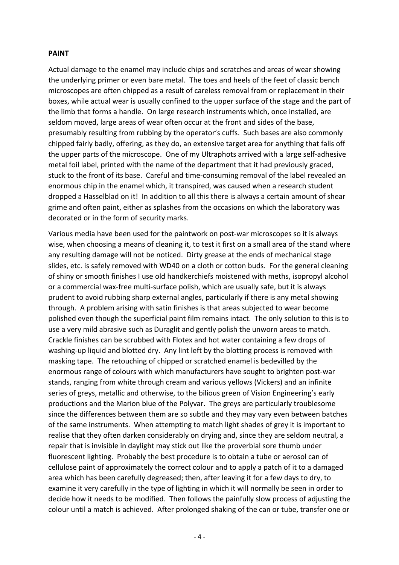#### **PAINT**

Actual damage to the enamel may include chips and scratches and areas of wear showing the underlying primer or even bare metal. The toes and heels of the feet of classic bench microscopes are often chipped as a result of careless removal from or replacement in their boxes, while actual wear is usually confined to the upper surface of the stage and the part of the limb that forms a handle. On large research instruments which, once installed, are seldom moved, large areas of wear often occur at the front and sides of the base, presumably resulting from rubbing by the operator's cuffs. Such bases are also commonly chipped fairly badly, offering, as they do, an extensive target area for anything that falls off the upper parts of the microscope. One of my Ultraphots arrived with a large self‐adhesive metal foil label, printed with the name of the department that it had previously graced, stuck to the front of its base. Careful and time‐consuming removal of the label revealed an enormous chip in the enamel which, it transpired, was caused when a research student dropped a Hasselblad on it! In addition to all this there is always a certain amount of shear grime and often paint, either as splashes from the occasions on which the laboratory was decorated or in the form of security marks.

Various media have been used for the paintwork on post‐war microscopes so it is always wise, when choosing a means of cleaning it, to test it first on a small area of the stand where any resulting damage will not be noticed. Dirty grease at the ends of mechanical stage slides, etc. is safely removed with WD40 on a cloth or cotton buds. For the general cleaning of shiny or smooth finishes I use old handkerchiefs moistened with meths, isopropyl alcohol or a commercial wax‐free multi‐surface polish, which are usually safe, but it is always prudent to avoid rubbing sharp external angles, particularly if there is any metal showing through. A problem arising with satin finishes is that areas subjected to wear become polished even though the superficial paint film remains intact. The only solution to this is to use a very mild abrasive such as Duraglit and gently polish the unworn areas to match. Crackle finishes can be scrubbed with Flotex and hot water containing a few drops of washing-up liquid and blotted dry. Any lint left by the blotting process is removed with masking tape. The retouching of chipped or scratched enamel is bedevilled by the enormous range of colours with which manufacturers have sought to brighten post‐war stands, ranging from white through cream and various yellows (Vickers) and an infinite series of greys, metallic and otherwise, to the bilious green of Vision Engineering's early productions and the Marion blue of the Polyvar. The greys are particularly troublesome since the differences between them are so subtle and they may vary even between batches of the same instruments. When attempting to match light shades of grey it is important to realise that they often darken considerably on drying and, since they are seldom neutral, a repair that is invisible in daylight may stick out like the proverbial sore thumb under fluorescent lighting. Probably the best procedure is to obtain a tube or aerosol can of cellulose paint of approximately the correct colour and to apply a patch of it to a damaged area which has been carefully degreased; then, after leaving it for a few days to dry, to examine it very carefully in the type of lighting in which it will normally be seen in order to decide how it needs to be modified. Then follows the painfully slow process of adjusting the colour until a match is achieved. After prolonged shaking of the can or tube, transfer one or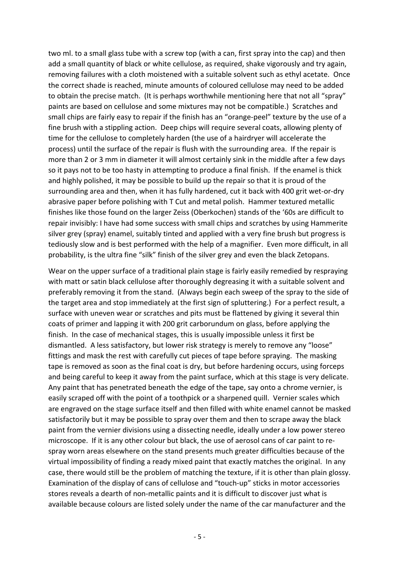two ml. to a small glass tube with a screw top (with a can, first spray into the cap) and then add a small quantity of black or white cellulose, as required, shake vigorously and try again, removing failures with a cloth moistened with a suitable solvent such as ethyl acetate. Once the correct shade is reached, minute amounts of coloured cellulose may need to be added to obtain the precise match. (It is perhaps worthwhile mentioning here that not all "spray" paints are based on cellulose and some mixtures may not be compatible.) Scratches and small chips are fairly easy to repair if the finish has an "orange-peel" texture by the use of a fine brush with a stippling action. Deep chips will require several coats, allowing plenty of time for the cellulose to completely harden (the use of a hairdryer will accelerate the process) until the surface of the repair is flush with the surrounding area. If the repair is more than 2 or 3 mm in diameter it will almost certainly sink in the middle after a few days so it pays not to be too hasty in attempting to produce a final finish. If the enamel is thick and highly polished, it may be possible to build up the repair so that it is proud of the surrounding area and then, when it has fully hardened, cut it back with 400 grit wet‐or‐dry abrasive paper before polishing with T Cut and metal polish. Hammer textured metallic finishes like those found on the larger Zeiss (Oberkochen) stands of the '60s are difficult to repair invisibly: I have had some success with small chips and scratches by using Hammerite silver grey (spray) enamel, suitably tinted and applied with a very fine brush but progress is tediously slow and is best performed with the help of a magnifier. Even more difficult, in all probability, is the ultra fine "silk" finish of the silver grey and even the black Zetopans.

Wear on the upper surface of a traditional plain stage is fairly easily remedied by respraying with matt or satin black cellulose after thoroughly degreasing it with a suitable solvent and preferably removing it from the stand. (Always begin each sweep of the spray to the side of the target area and stop immediately at the first sign of spluttering.) For a perfect result, a surface with uneven wear or scratches and pits must be flattened by giving it several thin coats of primer and lapping it with 200 grit carborundum on glass, before applying the finish. In the case of mechanical stages, this is usually impossible unless it first be dismantled. A less satisfactory, but lower risk strategy is merely to remove any "loose" fittings and mask the rest with carefully cut pieces of tape before spraying. The masking tape is removed as soon as the final coat is dry, but before hardening occurs, using forceps and being careful to keep it away from the paint surface, which at this stage is very delicate. Any paint that has penetrated beneath the edge of the tape, say onto a chrome vernier, is easily scraped off with the point of a toothpick or a sharpened quill. Vernier scales which are engraved on the stage surface itself and then filled with white enamel cannot be masked satisfactorily but it may be possible to spray over them and then to scrape away the black paint from the vernier divisions using a dissecting needle, ideally under a low power stereo microscope. If it is any other colour but black, the use of aerosol cans of car paint to re‐ spray worn areas elsewhere on the stand presents much greater difficulties because of the virtual impossibility of finding a ready mixed paint that exactly matches the original. In any case, there would still be the problem of matching the texture, if it is other than plain glossy. Examination of the display of cans of cellulose and "touch‐up" sticks in motor accessories stores reveals a dearth of non‐metallic paints and it is difficult to discover just what is available because colours are listed solely under the name of the car manufacturer and the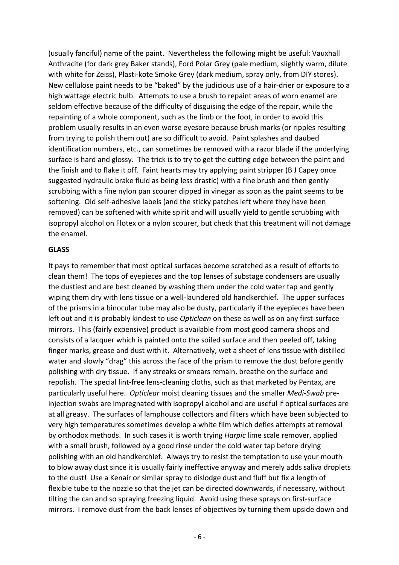(usually fanciful) name of the paint. Nevertheless the following might be useful: Vauxhall Anthracite (for dark grey Baker stands), Ford Polar Grey (pale medium, slightly warm, dilute with white for Zeiss), Plasti-kote Smoke Grey (dark medium, spray only, from DIY stores). New cellulose paint needs to be "baked" by the judicious use of a hair‐drier or exposure to a high wattage electric bulb. Attempts to use a brush to repaint areas of worn enamel are seldom effective because of the difficulty of disguising the edge of the repair, while the repainting of a whole component, such as the limb or the foot, in order to avoid this problem usually results in an even worse eyesore because brush marks (or ripples resulting from trying to polish them out) are so difficult to avoid. Paint splashes and daubed identification numbers, etc., can sometimes be removed with a razor blade if the underlying surface is hard and glossy. The trick is to try to get the cutting edge between the paint and the finish and to flake it off. Faint hearts may try applying paint stripper (B J Capey once suggested hydraulic brake fluid as being less drastic) with a fine brush and then gently scrubbing with a fine nylon pan scourer dipped in vinegar as soon as the paint seems to be softening. Old self-adhesive labels (and the sticky patches left where they have been removed) can be softened with white spirit and will usually yield to gentle scrubbing with isopropyl alcohol on Flotex or a nylon scourer, but check that this treatment will not damage the enamel.

#### **GLASS**

It pays to remember that most optical surfaces become scratched as a result of efforts to clean them! The tops of eyepieces and the top lenses of substage condensers are usually the dustiest and are best cleaned by washing them under the cold water tap and gently wiping them dry with lens tissue or a well-laundered old handkerchief. The upper surfaces of the prisms in a binocular tube may also be dusty, particularly if the eyepieces have been left out and it is probably kindest to use *Opticlean* on these as well as on any first‐surface mirrors. This (fairly expensive) product is available from most good camera shops and consists of a lacquer which is painted onto the soiled surface and then peeled off, taking finger marks, grease and dust with it. Alternatively, wet a sheet of lens tissue with distilled water and slowly "drag" this across the face of the prism to remove the dust before gently polishing with dry tissue. If any streaks or smears remain, breathe on the surface and repolish. The special lint‐free lens‐cleaning cloths, such as that marketed by Pentax, are particularly useful here. *Opticlear* moist cleaning tissues and the smaller *Medi‐Swab* pre‐ injection swabs are impregnated with isopropyl alcohol and are useful if optical surfaces are at all greasy. The surfaces of lamphouse collectors and filters which have been subjected to very high temperatures sometimes develop a white film which defies attempts at removal by orthodox methods. In such cases it is worth trying *Harpic* lime scale remover, applied with a small brush, followed by a good rinse under the cold water tap before drying polishing with an old handkerchief. Always try to resist the temptation to use your mouth to blow away dust since it is usually fairly ineffective anyway and merely adds saliva droplets to the dust! Use a Kenair or similar spray to dislodge dust and fluff but fix a length of flexible tube to the nozzle so that the jet can be directed downwards, if necessary, without tilting the can and so spraying freezing liquid. Avoid using these sprays on first-surface mirrors. I remove dust from the back lenses of objectives by turning them upside down and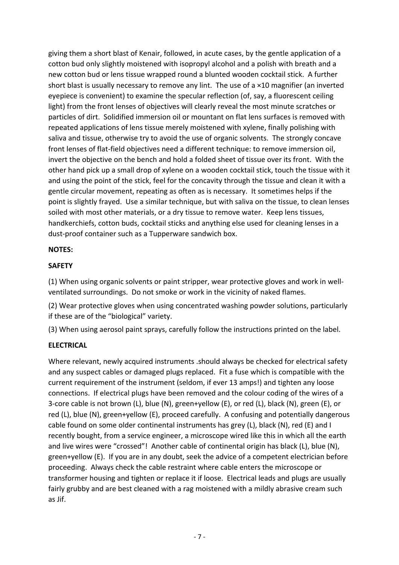giving them a short blast of Kenair, followed, in acute cases, by the gentle application of a cotton bud only slightly moistened with isopropyl alcohol and a polish with breath and a new cotton bud or lens tissue wrapped round a blunted wooden cocktail stick. A further short blast is usually necessary to remove any lint. The use of a ×10 magnifier (an inverted eyepiece is convenient) to examine the specular reflection (of, say, a fluorescent ceiling light) from the front lenses of objectives will clearly reveal the most minute scratches or particles of dirt. Solidified immersion oil or mountant on flat lens surfaces is removed with repeated applications of lens tissue merely moistened with xylene, finally polishing with saliva and tissue, otherwise try to avoid the use of organic solvents. The strongly concave front lenses of flat-field objectives need a different technique: to remove immersion oil, invert the objective on the bench and hold a folded sheet of tissue over its front. With the other hand pick up a small drop of xylene on a wooden cocktail stick, touch the tissue with it and using the point of the stick, feel for the concavity through the tissue and clean it with a gentle circular movement, repeating as often as is necessary. It sometimes helps if the point is slightly frayed. Use a similar technique, but with saliva on the tissue, to clean lenses soiled with most other materials, or a dry tissue to remove water. Keep lens tissues, handkerchiefs, cotton buds, cocktail sticks and anything else used for cleaning lenses in a dust‐proof container such as a Tupperware sandwich box.

## **NOTES:**

# **SAFETY**

(1) When using organic solvents or paint stripper, wear protective gloves and work in well‐ ventilated surroundings. Do not smoke or work in the vicinity of naked flames.

(2) Wear protective gloves when using concentrated washing powder solutions, particularly if these are of the "biological" variety.

(3) When using aerosol paint sprays, carefully follow the instructions printed on the label.

## **ELECTRICAL**

Where relevant, newly acquired instruments .should always be checked for electrical safety and any suspect cables or damaged plugs replaced. Fit a fuse which is compatible with the current requirement of the instrument (seldom, if ever 13 amps!) and tighten any loose connections. If electrical plugs have been removed and the colour coding of the wires of a 3‐core cable is not brown (L), blue (N), green+yellow (E), or red (L), black (N), green (E), or red (L), blue (N), green+yellow (E), proceed carefully. A confusing and potentially dangerous cable found on some older continental instruments has grey (L), black (N), red (E) and I recently bought, from a service engineer, a microscope wired like this in which all the earth and live wires were "crossed"! Another cable of continental origin has black (L), blue (N), green+yellow (E). If you are in any doubt, seek the advice of a competent electrician before proceeding. Always check the cable restraint where cable enters the microscope or transformer housing and tighten or replace it if loose. Electrical leads and plugs are usually fairly grubby and are best cleaned with a rag moistened with a mildly abrasive cream such as Jif.